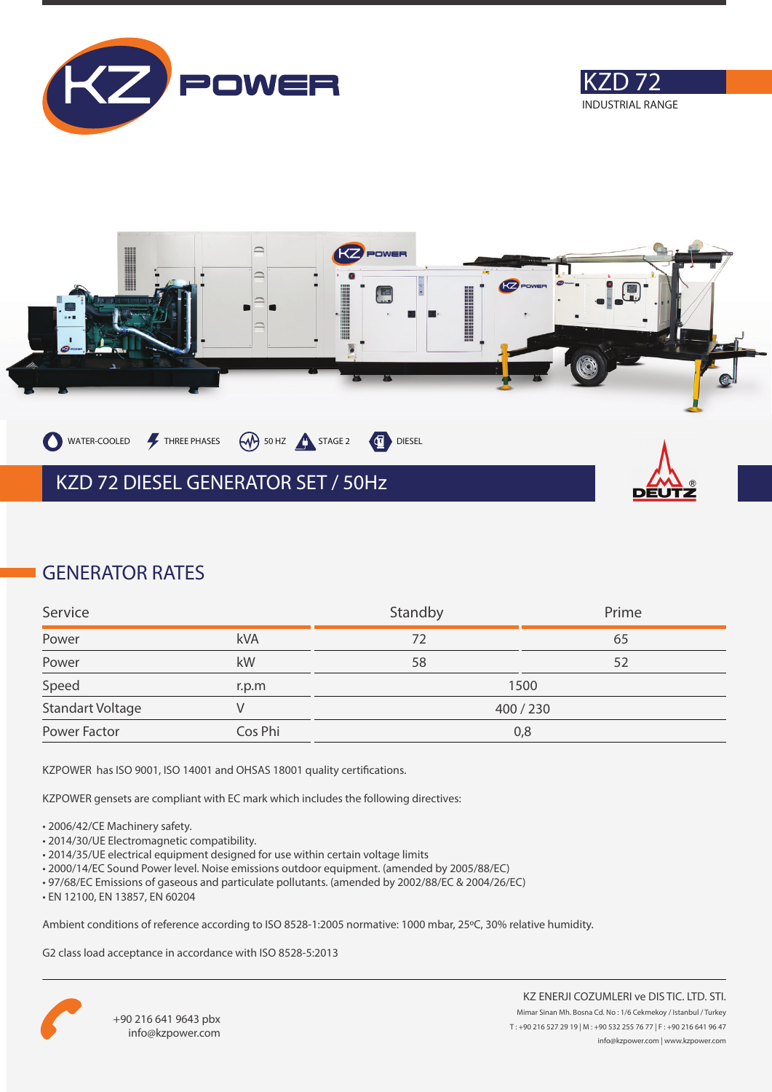





# **GENERATOR RATES**

| Service                 |         | Standby | Prime |
|-------------------------|---------|---------|-------|
| Power                   | kVA     | 72      | 65    |
| Power                   | kW      | 58      | 52    |
| Speed                   | r.p.m   |         | 1500  |
| <b>Standart Voltage</b> |         | 400/230 |       |
| Power Factor            | Cos Phi | 0,8     |       |

KZPOWER has ISO 9001, ISO 14001 and OHSAS 18001 quality certifications.

KZPOWER gensets are compliant with EC mark which includes the following directives:

- 2006/42/CE Machinery safety.
- 2014/30/UE Electromagnetic compatibility.
- 2014/35/UE electrical equipment designed for use within certain voltage limits
- 2000/14/EC Sound Power level. Noise emissions outdoor equipment. (amended by 2005/88/EC)
- 97/68/EC Emissions of gaseous and particulate pollutants. (amended by 2002/88/EC & 2004/26/EC)
- EN 12100, EN 13857, EN 60204

Ambient conditions of reference according to ISO 8528-1:2005 normative: 1000 mbar, 25ºC, 30% relative humidity.

G2 class load acceptance in accordance with ISO 8528-5:2013

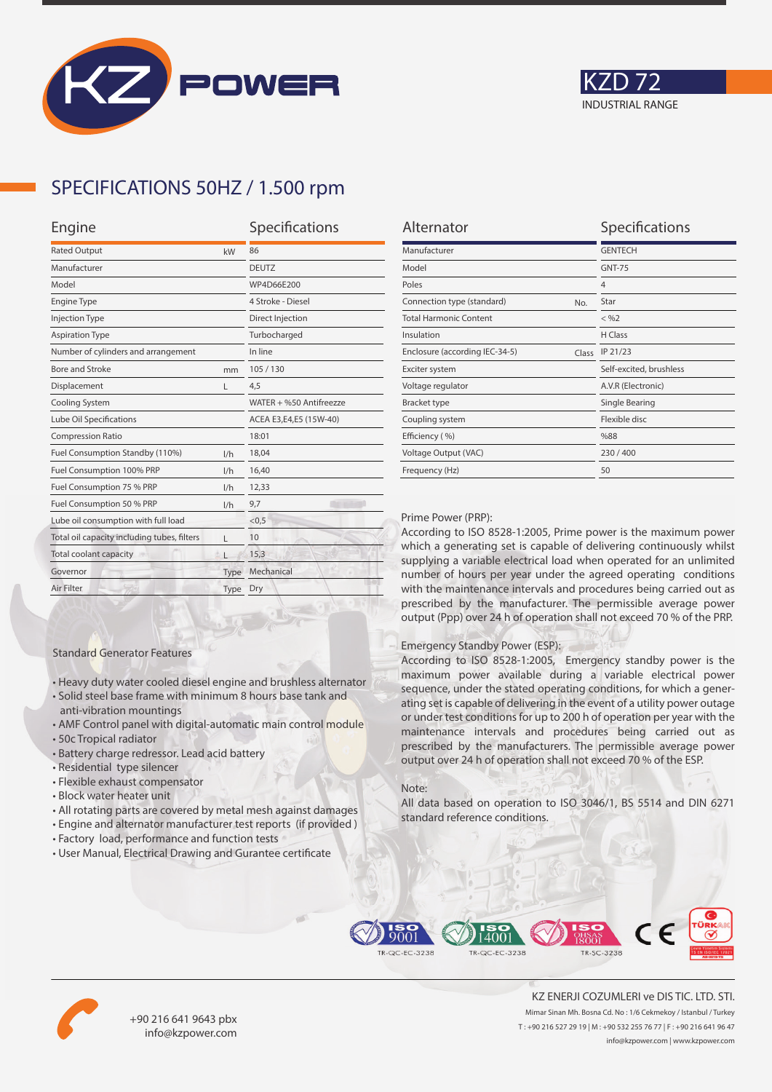



### **SPECIFICATIONS 50HZ / 1.500 rpm**

| Engine                                      |      | Specifications          |  |
|---------------------------------------------|------|-------------------------|--|
| <b>Rated Output</b><br>kW                   |      | 86                      |  |
| Manufacturer                                |      | <b>DEUTZ</b>            |  |
| Model                                       |      | WP4D66E200              |  |
| <b>Engine Type</b>                          |      | 4 Stroke - Diesel       |  |
| <b>Injection Type</b>                       |      | Direct Injection        |  |
| <b>Aspiration Type</b>                      |      | Turbocharged            |  |
| Number of cylinders and arrangement         |      | In line                 |  |
| <b>Bore and Stroke</b>                      | mm   | 105/130                 |  |
| Displacement                                | L    | 4,5                     |  |
| Cooling System                              |      | WATER + %50 Antifreezze |  |
| Lube Oil Specifications                     |      | ACEA E3,E4,E5 (15W-40)  |  |
| <b>Compression Ratio</b>                    |      | 18:01                   |  |
| Fuel Consumption Standby (110%)             | 1/h  | 18,04                   |  |
| Fuel Consumption 100% PRP                   | 1/h  | 16,40                   |  |
| Fuel Consumption 75 % PRP                   | 1/h  | 12,33                   |  |
| Fuel Consumption 50 % PRP<br>1/h            |      | 9,7                     |  |
| Lube oil consumption with full load         |      | < 0.5                   |  |
| Total oil capacity including tubes, filters | г    | 10                      |  |
| Total coolant capacity                      |      | 15,3                    |  |
| Governor                                    | Type | Mechanical              |  |
| Air Filter                                  | Type | Dry                     |  |
|                                             |      |                         |  |

| Alternator                              | Specifications          |
|-----------------------------------------|-------------------------|
| Manufacturer                            | <b>GENTECH</b>          |
| Model                                   | <b>GNT-75</b>           |
| Poles                                   | $\overline{4}$          |
| Connection type (standard)<br>No.       | Star                    |
| <b>Total Harmonic Content</b>           | $<$ %2                  |
| Insulation                              | H Class                 |
| Enclosure (according IEC-34-5)<br>Class | IP 21/23                |
| Exciter system                          | Self-excited, brushless |
| Voltage regulator                       | A.V.R (Electronic)      |
| <b>Bracket type</b>                     | Single Bearing          |
| Coupling system                         | Flexible disc           |
| Efficiency (%)                          | %88                     |
| Voltage Output (VAC)                    | 230/400                 |
| Frequency (Hz)                          | 50                      |

#### Prime Power (PRP):

According to ISO 8528-1:2005, Prime power is the maximum power which a generating set is capable of delivering continuously whilst supplying a variable electrical load when operated for an unlimited number of hours per year under the agreed operating conditions with the maintenance intervals and procedures being carried out as prescribed by the manufacturer. The permissible average power output (Ppp) over 24 h of operation shall not exceed 70 % of the PRP.

#### Emergency Standby Power (ESP):

According to ISO 8528-1:2005, Emergency standby power is the maximum power available during a variable electrical power sequence, under the stated operating conditions, for which a generating set is capable of delivering in the event of a utility power outage or under test conditions for up to 200 h of operation per year with the maintenance intervals and procedures being carried out as prescribed by the manufacturers. The permissible average power output over 24 h of operation shall not exceed 70 % of the ESP.

#### Note:

All data based on operation to ISO 3046/1, BS 5514 and DIN 6271 standard reference conditions.



• All rotating parts are covered by metal mesh against damages

• Heavy duty water cooled diesel engine and brushless alternator • Solid steel base frame with minimum 8 hours base tank and

• AMF Control panel with digital-automatic main control module

• User Manual, Electrical Drawing and Gurantee certificate

Standard Generator Features

anti-vibration mountings

• Residential type silencer • Flexible exhaust compensator • Block water heater unit

• Battery charge redressor. Lead acid battery

• 50c Tropical radiator





+90 216 641 9643 pbx info@kzpower.com

KZ ENERJI COZUMLERI ve DIS TIC. LTD. STI. Mimar Sinan Mh. Bosna Cd. No : 1/6 Cekmekoy / Istanbul / Turkey T : +90 216 527 29 19 | M : +90 532 255 76 77 | F : +90 216 641 96 47 info@kzpower.com | www.kzpower.com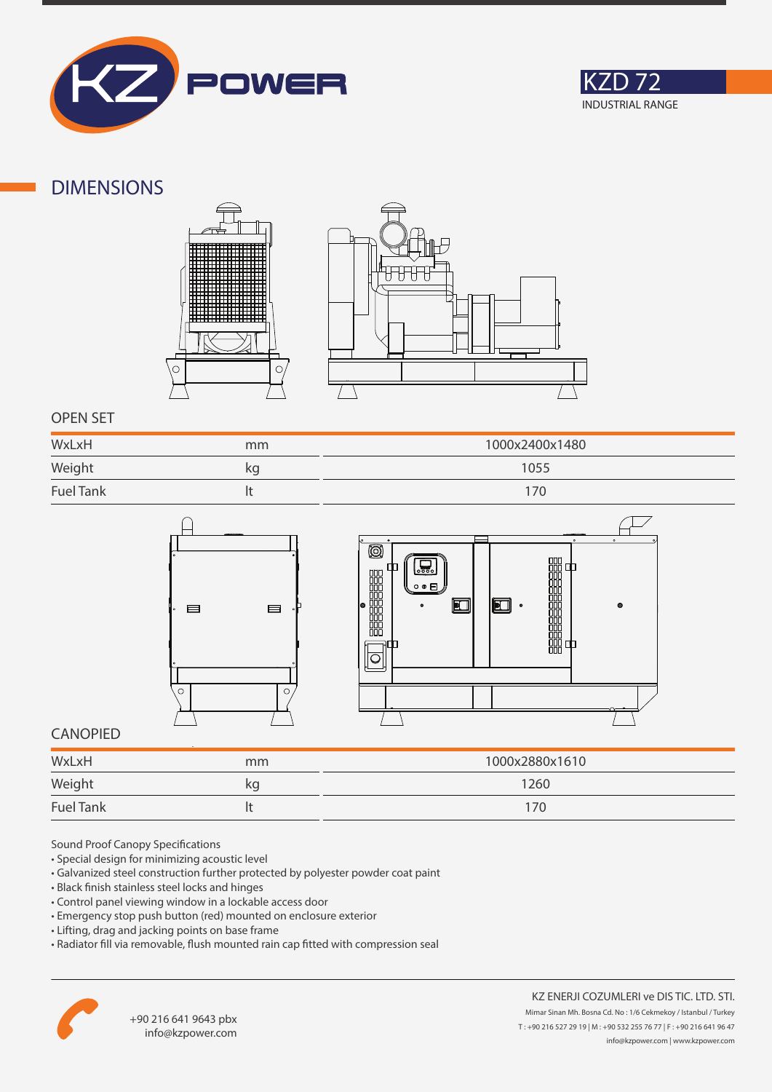



### **DIMENSIONS**





### **OPEN SET**

| WxLxH            | mm | 1000x2400x1480 |
|------------------|----|----------------|
| Weight           | kg | 1055           |
| <b>Fuel Tank</b> |    |                |



### **CANOPIED**

| WxLxH            | mm | 1000x2880x1610 |
|------------------|----|----------------|
| Weight           | kg | 1260           |
| <b>Fuel Tank</b> |    | 170            |

Sound Proof Canopy Specifications

- Special design for minimizing acoustic level
- Galvanized steel construction further protected by polyester powder coat paint
- Black finish stainless steel locks and hinges
- Control panel viewing window in a lockable access door
- Emergency stop push button (red) mounted on enclosure exterior
- Lifting, drag and jacking points on base frame
- Radiator fill via removable, flush mounted rain cap fitted with compression seal